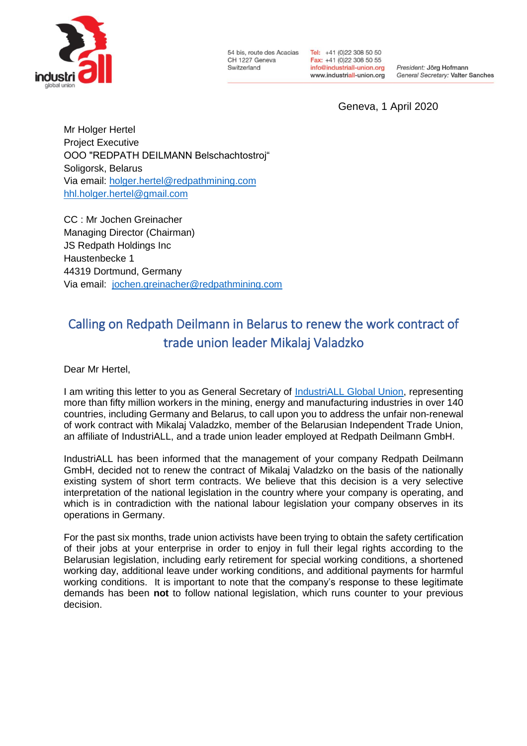

54 bis, route des Acacias CH 1227 Geneva Switzerland

Tel: +41 (0)22 308 50 50 Fax: +41 (0)22 308 50 55 info@industriall-union.org www.industriall-union.org

President: Jörg Hofmann General Secretary: Valter Sanches

Geneva, 1 April 2020

Mr Holger Hertel Project Executive OOO "REDPATH DEILMANN Belschachtostroj" Soligorsk, Belarus Via email: [holger.hertel@redpathmining.com](mailto:holger.hertel@redpathmining.com) [hhl.holger.hertel@gmail.com](mailto:hhl.holger.hertel@gmail.com)

CC : Mr Jochen Greinacher Managing Director (Chairman) JS Redpath Holdings Inc Haustenbecke 1 44319 Dortmund, Germany Via email: [jochen.greinacher@redpathmining.com](mailto:jochen.greinacher@redpathmining.com)

## Calling on Redpath Deilmann in Belarus to renew the work contract of trade union leader Mikalaj Valadzko

Dear Mr Hertel,

I am writing this letter to you as General Secretary of **IndustriALL Global Union**, representing more than fifty million workers in the mining, energy and manufacturing industries in over 140 countries, including Germany and Belarus, to call upon you to address the unfair non-renewal of work contract with Mikalaj Valadzko, member of the Belarusian Independent Trade Union, an affiliate of IndustriALL, and a trade union leader employed at Redpath Deilmann GmbH.

IndustriALL has been informed that the management of your company Redpath Deilmann GmbH, decided not to renew the contract of Mikalaj Valadzko on the basis of the nationally existing system of short term contracts. We believe that this decision is a very selective interpretation of the national legislation in the country where your company is operating, and which is in contradiction with the national labour legislation your company observes in its operations in Germany.

For the past six months, trade union activists have been trying to obtain the safety certification of their jobs at your enterprise in order to enjoy in full their legal rights according to the Belarusian legislation, including early retirement for special working conditions, a shortened working day, additional leave under working conditions, and additional payments for harmful working conditions. It is important to note that the company's response to these legitimate demands has been **not** to follow national legislation, which runs counter to your previous decision.